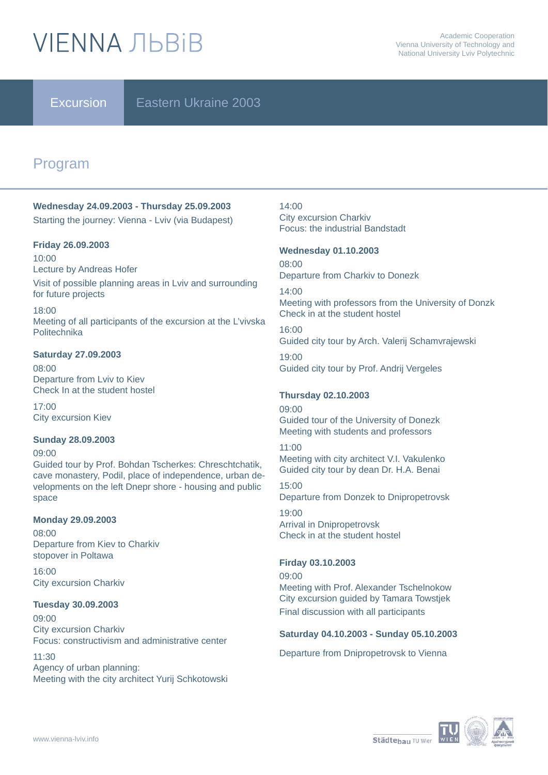# **VIFNNA JIBRIB**

Excursion **E** Eastern Ukraine 2003

# Program

### **Wednesday 24.09.2003 - Thursday 25.09.2003** Starting the journey: Vienna - Lviv (via Budapest)

#### **Friday 26.09.2003**

for future projects

10:00 Lecture by Andreas Hofer Visit of possible planning areas in Lviv and surrounding

18:00 Meeting of all participants of the excursion at the L'vivska **Politechnika** 

#### **Saturday 27.09.2003**

08:00 Departure from Lviv to Kiev Check In at the student hostel

17:00 City excursion Kiev

#### **Sunday 28.09.2003**

09:00 Guided tour by Prof. Bohdan Tscherkes: Chreschtchatik, cave monastery, Podil, place of independence, urban developments on the left Dnepr shore - housing and public space

#### **Monday 29.09.2003**

08:00 Departure from Kiev to Charkiv stopover in Poltawa

16:00 City excursion Charkiv

#### **Tuesday 30.09.2003**

09:00 City excursion Charkiv Focus: constructivism and administrative center

11:30

Agency of urban planning: Meeting with the city architect Yurij Schkotowski 14:00 City excursion Charkiv Focus: the industrial Bandstadt

#### **Wednesday 01.10.2003**

08:00 Departure from Charkiv to Donezk

14:00 Meeting with professors from the University of Donzk Check in at the student hostel

16:00 Guided city tour by Arch. Valerij Schamvrajewski

19:00 Guided city tour by Prof. Andrij Vergeles

#### **Thursday 02.10.2003**

09:00 Guided tour of the University of Donezk Meeting with students and professors

#### 11:00

Meeting with city architect V.I. Vakulenko Guided city tour by dean Dr. H.A. Benai

15:00 Departure from Donzek to Dnipropetrovsk

19:00 Arrival in Dnipropetrovsk Check in at the student hostel

#### **Firday 03.10.2003**

09:00 Meeting with Prof. Alexander Tschelnokow City excursion guided by Tamara Towstjek Final discussion with all participants

#### **Saturday 04.10.2003 - Sunday 05.10.2003**

Departure from Dnipropetrovsk to Vienna